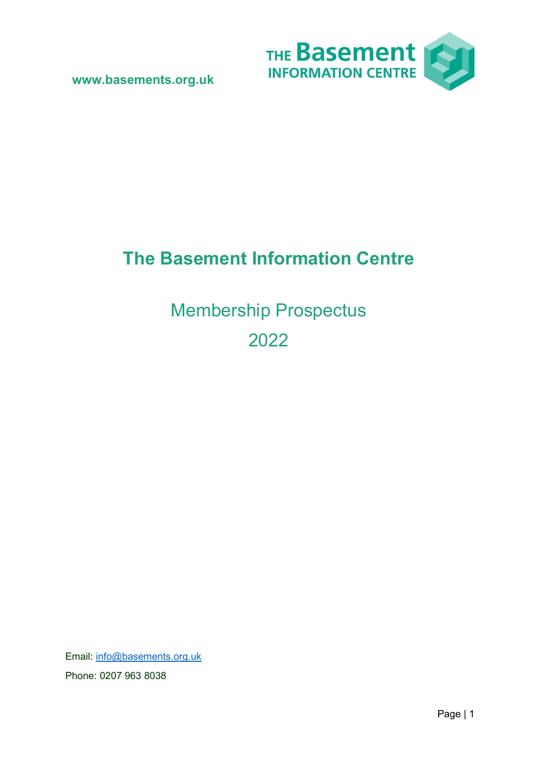

# The Basement Information Centre

Membership Prospectus 2022

Email: info@basements.org.uk Phone: 0207 963 8038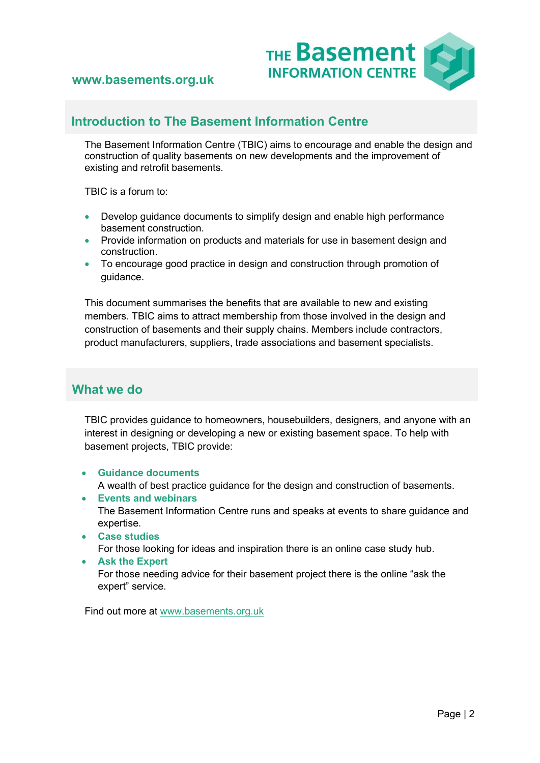

## Introduction to The Basement Information Centre

The Basement Information Centre (TBIC) aims to encourage and enable the design and construction of quality basements on new developments and the improvement of existing and retrofit basements.

TBIC is a forum to:

- Develop guidance documents to simplify design and enable high performance basement construction.
- **•** Provide information on products and materials for use in basement design and construction.
- To encourage good practice in design and construction through promotion of guidance.

This document summarises the benefits that are available to new and existing members. TBIC aims to attract membership from those involved in the design and construction of basements and their supply chains. Members include contractors, product manufacturers, suppliers, trade associations and basement specialists.

## What we do

TBIC provides guidance to homeowners, housebuilders, designers, and anyone with an interest in designing or developing a new or existing basement space. To help with basement projects, TBIC provide:

- Guidance documents A wealth of best practice guidance for the design and construction of basements.
- Events and webinars The Basement Information Centre runs and speaks at events to share guidance and expertise.
- Case studies

For those looking for ideas and inspiration there is an online case study hub.

Ask the Expert

For those needing advice for their basement project there is the online "ask the expert" service.

Find out more at www.basements.org.uk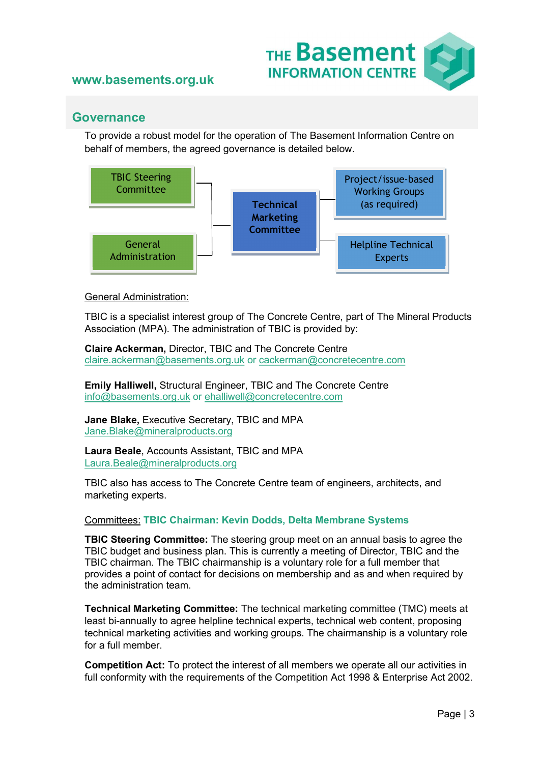

## **Governance**

To provide a robust model for the operation of The Basement Information Centre on behalf of members, the agreed governance is detailed below.



#### General Administration:

TBIC is a specialist interest group of The Concrete Centre, part of The Mineral Products Association (MPA). The administration of TBIC is provided by:

Claire Ackerman, Director, TBIC and The Concrete Centre claire.ackerman@basements.org.uk or cackerman@concretecentre.com

Emily Halliwell, Structural Engineer, TBIC and The Concrete Centre info@basements.org.uk or ehalliwell@concretecentre.com

Jane Blake, Executive Secretary, TBIC and MPA Jane.Blake@mineralproducts.org

Laura Beale, Accounts Assistant, TBIC and MPA Laura.Beale@mineralproducts.org

TBIC also has access to The Concrete Centre team of engineers, architects, and marketing experts.

#### Committees: TBIC Chairman: Kevin Dodds, Delta Membrane Systems

TBIC Steering Committee: The steering group meet on an annual basis to agree the TBIC budget and business plan. This is currently a meeting of Director, TBIC and the TBIC chairman. The TBIC chairmanship is a voluntary role for a full member that provides a point of contact for decisions on membership and as and when required by the administration team.

Technical Marketing Committee: The technical marketing committee (TMC) meets at least bi-annually to agree helpline technical experts, technical web content, proposing technical marketing activities and working groups. The chairmanship is a voluntary role for a full member.

Competition Act: To protect the interest of all members we operate all our activities in full conformity with the requirements of the Competition Act 1998 & Enterprise Act 2002.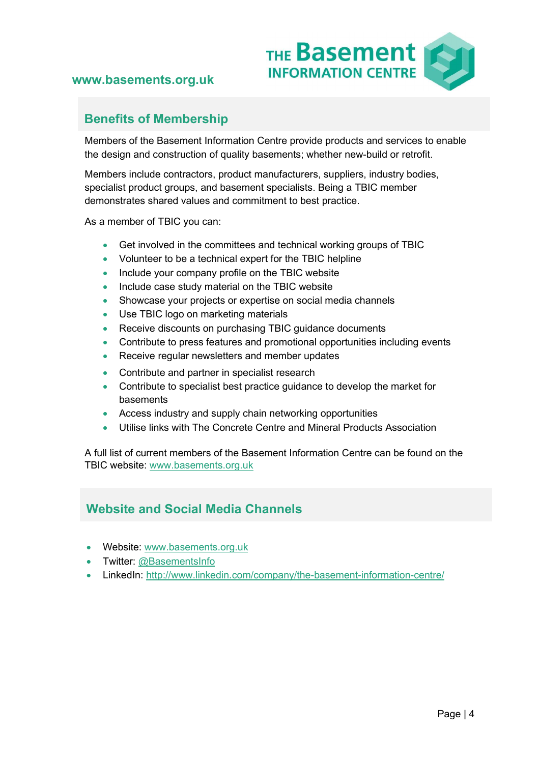

## Benefits of Membership

Members of the Basement Information Centre provide products and services to enable the design and construction of quality basements; whether new-build or retrofit.

Members include contractors, product manufacturers, suppliers, industry bodies, specialist product groups, and basement specialists. Being a TBIC member demonstrates shared values and commitment to best practice.

As a member of TBIC you can:

- Get involved in the committees and technical working groups of TBIC
- Volunteer to be a technical expert for the TBIC helpline
- Include your company profile on the TBIC website
- Include case study material on the TBIC website
- Showcase your projects or expertise on social media channels
- Use TBIC logo on marketing materials
- Receive discounts on purchasing TBIC guidance documents
- Contribute to press features and promotional opportunities including events
- Receive regular newsletters and member updates
- Contribute and partner in specialist research
- Contribute to specialist best practice guidance to develop the market for basements
- Access industry and supply chain networking opportunities
- Utilise links with The Concrete Centre and Mineral Products Association

A full list of current members of the Basement Information Centre can be found on the TBIC website: www.basements.org.uk

## Website and Social Media Channels

- Website: www.basements.org.uk
- Twitter: @BasementsInfo
- LinkedIn: http://www.linkedin.com/company/the-basement-information-centre/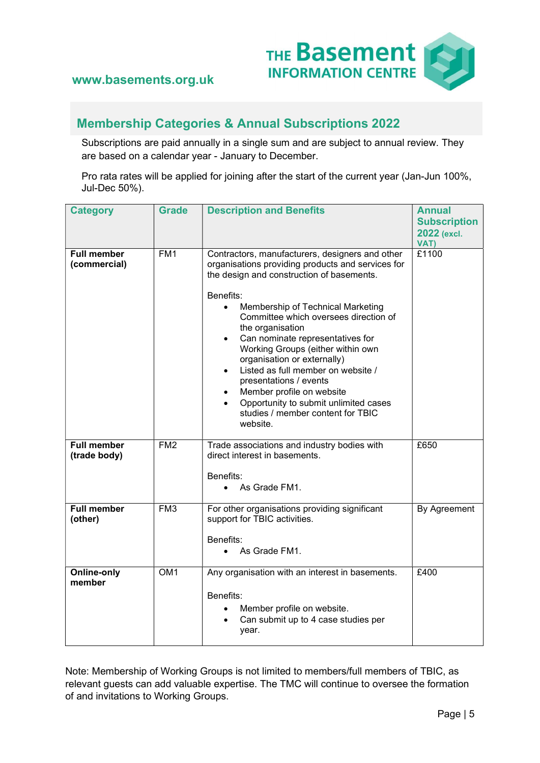

## Membership Categories & Annual Subscriptions 2022

Subscriptions are paid annually in a single sum and are subject to annual review. They are based on a calendar year - January to December.

Pro rata rates will be applied for joining after the start of the current year (Jan-Jun 100%, Jul-Dec 50%).

| <b>Category</b>                    | <b>Grade</b>    | <b>Description and Benefits</b>                                                                                                                                                                                                                                                                                                                                                                                                                                                                                                                                              | <b>Annual</b><br><b>Subscription</b><br>2022 (excl.<br>VAT) |
|------------------------------------|-----------------|------------------------------------------------------------------------------------------------------------------------------------------------------------------------------------------------------------------------------------------------------------------------------------------------------------------------------------------------------------------------------------------------------------------------------------------------------------------------------------------------------------------------------------------------------------------------------|-------------------------------------------------------------|
| <b>Full member</b><br>(commercial) | FM <sub>1</sub> | Contractors, manufacturers, designers and other<br>organisations providing products and services for<br>the design and construction of basements.<br>Benefits:<br>Membership of Technical Marketing<br>Committee which oversees direction of<br>the organisation<br>Can nominate representatives for<br>Working Groups (either within own<br>organisation or externally)<br>Listed as full member on website /<br>$\bullet$<br>presentations / events<br>Member profile on website<br>Opportunity to submit unlimited cases<br>studies / member content for TBIC<br>website. | £1100                                                       |
| <b>Full member</b><br>(trade body) | FM <sub>2</sub> | Trade associations and industry bodies with<br>direct interest in basements.<br>Benefits:<br>As Grade FM1.                                                                                                                                                                                                                                                                                                                                                                                                                                                                   | £650                                                        |
| <b>Full member</b><br>(other)      | FM <sub>3</sub> | For other organisations providing significant<br>support for TBIC activities.<br>Benefits:<br>As Grade FM1.                                                                                                                                                                                                                                                                                                                                                                                                                                                                  | By Agreement                                                |
| <b>Online-only</b><br>member       | OM <sub>1</sub> | Any organisation with an interest in basements.<br>Benefits:<br>Member profile on website.<br>Can submit up to 4 case studies per<br>year.                                                                                                                                                                                                                                                                                                                                                                                                                                   | £400                                                        |

Note: Membership of Working Groups is not limited to members/full members of TBIC, as relevant guests can add valuable expertise. The TMC will continue to oversee the formation of and invitations to Working Groups.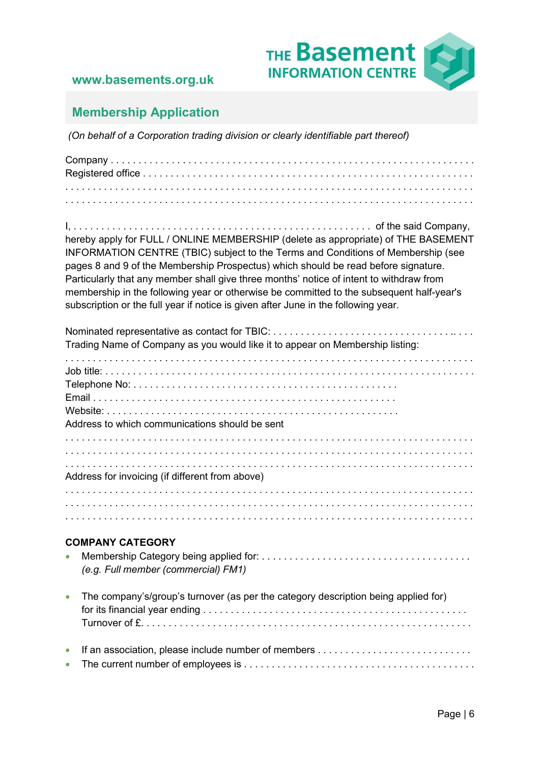

## Membership Application

(On behalf of a Corporation trading division or clearly identifiable part thereof)

Company . . . . . . . . . . . . . . . . . . . . . . . . . . . . . . . . . . . . . . . . . . . . . . . . . . . . . . . . . . . . . . . . . . Registered office . . . . . . . . . . . . . . . . . . . . . . . . . . . . . . . . . . . . . . . . . . . . . . . . . . . . . . . . . . . . . . . . . . . . . . . . . . . . . . . . . . . . . . . . . . . . . . . . . . . . . . . . . . . . . . . . . . . . . . . . . . . . . . . . . . . . . . . . . . . . . . . . . . . . . . . . . . . . . . . . . . . . . . . . . . . . . . . . . . . . . . . . . . . . . . . . . . . . . . . . . . . . . . . .

I, . . . . . . . . . . . . . . . . . . . . . . . . . . . . . . . . . . . . . . . . . . . . . . . . . . . . . . of the said Company, hereby apply for FULL / ONLINE MEMBERSHIP (delete as appropriate) of THE BASEMENT INFORMATION CENTRE (TBIC) subject to the Terms and Conditions of Membership (see pages 8 and 9 of the Membership Prospectus) which should be read before signature. Particularly that any member shall give three months' notice of intent to withdraw from membership in the following year or otherwise be committed to the subsequent half-year's subscription or the full year if notice is given after June in the following year.

| Trading Name of Company as you would like it to appear on Membership listing: |                                                                                    |  |  |  |  |  |
|-------------------------------------------------------------------------------|------------------------------------------------------------------------------------|--|--|--|--|--|
|                                                                               |                                                                                    |  |  |  |  |  |
|                                                                               |                                                                                    |  |  |  |  |  |
|                                                                               | Address to which communications should be sent                                     |  |  |  |  |  |
|                                                                               |                                                                                    |  |  |  |  |  |
|                                                                               | Address for invoicing (if different from above)                                    |  |  |  |  |  |
|                                                                               |                                                                                    |  |  |  |  |  |
|                                                                               |                                                                                    |  |  |  |  |  |
|                                                                               | <b>COMPANY CATEGORY</b>                                                            |  |  |  |  |  |
|                                                                               | (e.g. Full member (commercial) FM1)                                                |  |  |  |  |  |
| $\bullet$                                                                     | The company's/group's turnover (as per the category description being applied for) |  |  |  |  |  |
|                                                                               |                                                                                    |  |  |  |  |  |
| $\bullet$                                                                     |                                                                                    |  |  |  |  |  |
|                                                                               |                                                                                    |  |  |  |  |  |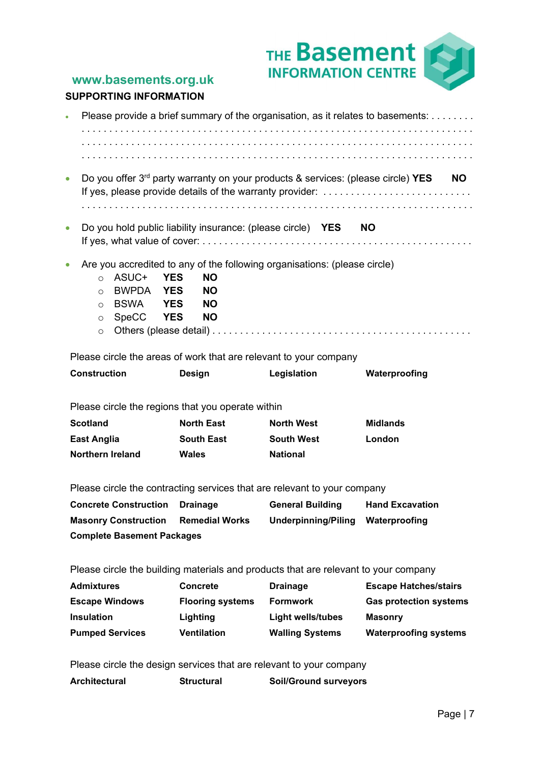

#### SUPPORTING INFORMATION

| $\bullet$                                                                           | Please provide a brief summary of the organisation, as it relates to basements:                                                                          |                                                                                            |                                                                           |                               |  |  |  |  |
|-------------------------------------------------------------------------------------|----------------------------------------------------------------------------------------------------------------------------------------------------------|--------------------------------------------------------------------------------------------|---------------------------------------------------------------------------|-------------------------------|--|--|--|--|
|                                                                                     |                                                                                                                                                          |                                                                                            |                                                                           |                               |  |  |  |  |
|                                                                                     |                                                                                                                                                          |                                                                                            |                                                                           |                               |  |  |  |  |
| $\bullet$                                                                           | Do you offer $3^{rd}$ party warranty on your products & services: (please circle) YES<br>NO.<br>If yes, please provide details of the warranty provider: |                                                                                            |                                                                           |                               |  |  |  |  |
|                                                                                     |                                                                                                                                                          |                                                                                            |                                                                           |                               |  |  |  |  |
| $\bullet$                                                                           |                                                                                                                                                          |                                                                                            | Do you hold public liability insurance: (please circle) YES               | <b>NO</b>                     |  |  |  |  |
| $\bullet$                                                                           | ASUC+<br>$\circ$<br><b>BWPDA</b><br>$\circ$<br><b>BSWA</b><br>$\circ$<br>SpeCC YES<br>$\circ$<br>$\circ$                                                 | <b>YES</b><br><b>NO</b><br><b>YES</b><br><b>NO</b><br><b>NO</b><br><b>YES</b><br><b>NO</b> | Are you accredited to any of the following organisations: (please circle) |                               |  |  |  |  |
|                                                                                     |                                                                                                                                                          |                                                                                            | Please circle the areas of work that are relevant to your company         |                               |  |  |  |  |
| <b>Construction</b>                                                                 |                                                                                                                                                          | <b>Design</b>                                                                              | Legislation                                                               | Waterproofing                 |  |  |  |  |
|                                                                                     |                                                                                                                                                          |                                                                                            |                                                                           |                               |  |  |  |  |
|                                                                                     |                                                                                                                                                          | Please circle the regions that you operate within                                          |                                                                           |                               |  |  |  |  |
| <b>Scotland</b>                                                                     |                                                                                                                                                          | <b>North East</b>                                                                          | <b>North West</b>                                                         | <b>Midlands</b>               |  |  |  |  |
| <b>East Anglia</b><br>Northern Ireland                                              |                                                                                                                                                          | <b>South East</b><br><b>Wales</b>                                                          | <b>South West</b><br><b>National</b>                                      | London                        |  |  |  |  |
|                                                                                     |                                                                                                                                                          |                                                                                            |                                                                           |                               |  |  |  |  |
|                                                                                     |                                                                                                                                                          |                                                                                            | Please circle the contracting services that are relevant to your company  |                               |  |  |  |  |
| <b>Concrete Construction</b>                                                        |                                                                                                                                                          | <b>Drainage</b>                                                                            | <b>General Building</b>                                                   | <b>Hand Excavation</b>        |  |  |  |  |
| <b>Masonry Construction</b>                                                         |                                                                                                                                                          | <b>Remedial Works</b>                                                                      | <b>Underpinning/Piling</b>                                                | Waterproofing                 |  |  |  |  |
| <b>Complete Basement Packages</b>                                                   |                                                                                                                                                          |                                                                                            |                                                                           |                               |  |  |  |  |
|                                                                                     |                                                                                                                                                          |                                                                                            |                                                                           |                               |  |  |  |  |
| Please circle the building materials and products that are relevant to your company |                                                                                                                                                          |                                                                                            |                                                                           |                               |  |  |  |  |
| <b>Admixtures</b>                                                                   |                                                                                                                                                          | <b>Concrete</b>                                                                            | <b>Drainage</b>                                                           | <b>Escape Hatches/stairs</b>  |  |  |  |  |
| <b>Escape Windows</b>                                                               |                                                                                                                                                          | <b>Flooring systems</b>                                                                    | <b>Formwork</b>                                                           | <b>Gas protection systems</b> |  |  |  |  |
| <b>Insulation</b>                                                                   |                                                                                                                                                          | Lighting                                                                                   | <b>Light wells/tubes</b>                                                  | <b>Masonry</b>                |  |  |  |  |
|                                                                                     | <b>Pumped Services</b>                                                                                                                                   | <b>Ventilation</b>                                                                         | <b>Walling Systems</b>                                                    | <b>Waterproofing systems</b>  |  |  |  |  |
|                                                                                     |                                                                                                                                                          |                                                                                            | Please circle the design services that are relevant to your company       |                               |  |  |  |  |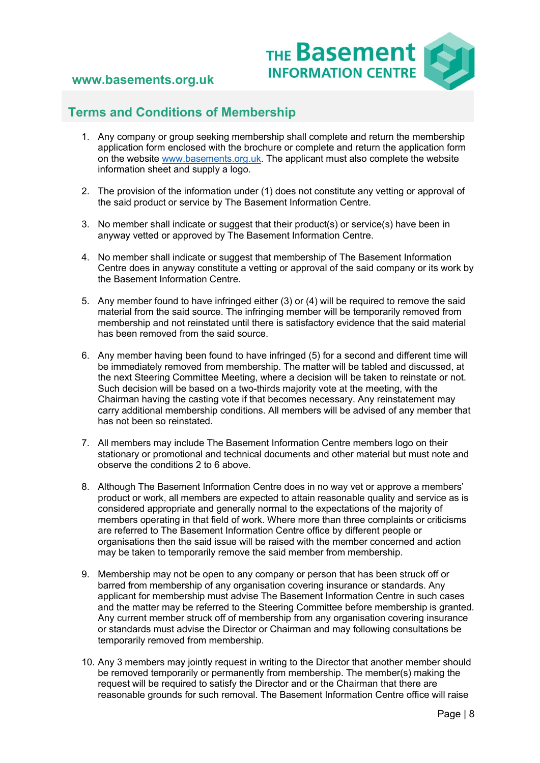

## Terms and Conditions of Membership

- 1. Any company or group seeking membership shall complete and return the membership application form enclosed with the brochure or complete and return the application form on the website www.basements.org.uk. The applicant must also complete the website information sheet and supply a logo.
- 2. The provision of the information under (1) does not constitute any vetting or approval of the said product or service by The Basement Information Centre.
- 3. No member shall indicate or suggest that their product(s) or service(s) have been in anyway vetted or approved by The Basement Information Centre.
- 4. No member shall indicate or suggest that membership of The Basement Information Centre does in anyway constitute a vetting or approval of the said company or its work by the Basement Information Centre.
- 5. Any member found to have infringed either (3) or (4) will be required to remove the said material from the said source. The infringing member will be temporarily removed from membership and not reinstated until there is satisfactory evidence that the said material has been removed from the said source.
- 6. Any member having been found to have infringed (5) for a second and different time will be immediately removed from membership. The matter will be tabled and discussed, at the next Steering Committee Meeting, where a decision will be taken to reinstate or not. Such decision will be based on a two-thirds majority vote at the meeting, with the Chairman having the casting vote if that becomes necessary. Any reinstatement may carry additional membership conditions. All members will be advised of any member that has not been so reinstated.
- 7. All members may include The Basement Information Centre members logo on their stationary or promotional and technical documents and other material but must note and observe the conditions 2 to 6 above.
- 8. Although The Basement Information Centre does in no way vet or approve a members' product or work, all members are expected to attain reasonable quality and service as is considered appropriate and generally normal to the expectations of the majority of members operating in that field of work. Where more than three complaints or criticisms are referred to The Basement Information Centre office by different people or organisations then the said issue will be raised with the member concerned and action may be taken to temporarily remove the said member from membership.
- 9. Membership may not be open to any company or person that has been struck off or barred from membership of any organisation covering insurance or standards. Any applicant for membership must advise The Basement Information Centre in such cases and the matter may be referred to the Steering Committee before membership is granted. Any current member struck off of membership from any organisation covering insurance or standards must advise the Director or Chairman and may following consultations be temporarily removed from membership.
- 10. Any 3 members may jointly request in writing to the Director that another member should be removed temporarily or permanently from membership. The member(s) making the request will be required to satisfy the Director and or the Chairman that there are reasonable grounds for such removal. The Basement Information Centre office will raise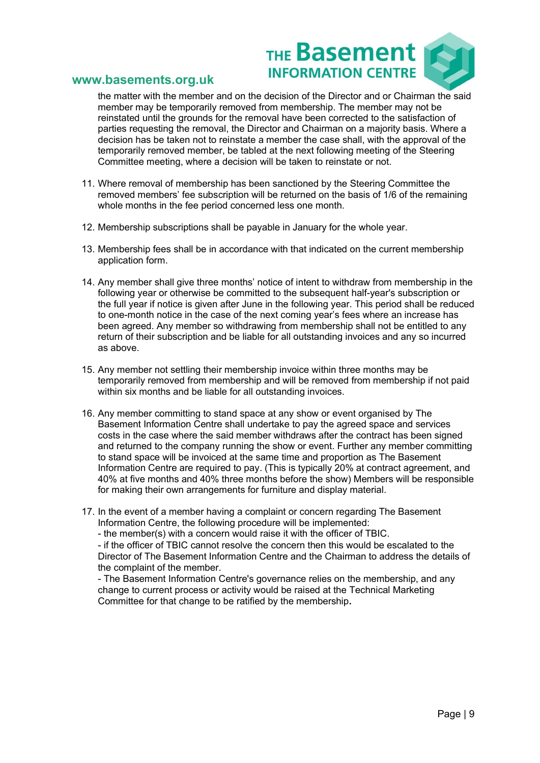

the matter with the member and on the decision of the Director and or Chairman the said member may be temporarily removed from membership. The member may not be reinstated until the grounds for the removal have been corrected to the satisfaction of parties requesting the removal, the Director and Chairman on a majority basis. Where a decision has be taken not to reinstate a member the case shall, with the approval of the temporarily removed member, be tabled at the next following meeting of the Steering Committee meeting, where a decision will be taken to reinstate or not.

- 11. Where removal of membership has been sanctioned by the Steering Committee the removed members' fee subscription will be returned on the basis of 1/6 of the remaining whole months in the fee period concerned less one month.
- 12. Membership subscriptions shall be payable in January for the whole year.
- 13. Membership fees shall be in accordance with that indicated on the current membership application form.
- 14. Any member shall give three months' notice of intent to withdraw from membership in the following year or otherwise be committed to the subsequent half-year's subscription or the full year if notice is given after June in the following year. This period shall be reduced to one-month notice in the case of the next coming year's fees where an increase has been agreed. Any member so withdrawing from membership shall not be entitled to any return of their subscription and be liable for all outstanding invoices and any so incurred as above.
- 15. Any member not settling their membership invoice within three months may be temporarily removed from membership and will be removed from membership if not paid within six months and be liable for all outstanding invoices.
- 16. Any member committing to stand space at any show or event organised by The Basement Information Centre shall undertake to pay the agreed space and services costs in the case where the said member withdraws after the contract has been signed and returned to the company running the show or event. Further any member committing to stand space will be invoiced at the same time and proportion as The Basement Information Centre are required to pay. (This is typically 20% at contract agreement, and 40% at five months and 40% three months before the show) Members will be responsible for making their own arrangements for furniture and display material.
- 17. In the event of a member having a complaint or concern regarding The Basement Information Centre, the following procedure will be implemented:
	- the member(s) with a concern would raise it with the officer of TBIC.

- if the officer of TBIC cannot resolve the concern then this would be escalated to the Director of The Basement Information Centre and the Chairman to address the details of the complaint of the member.

- The Basement Information Centre's governance relies on the membership, and any change to current process or activity would be raised at the Technical Marketing Committee for that change to be ratified by the membership.